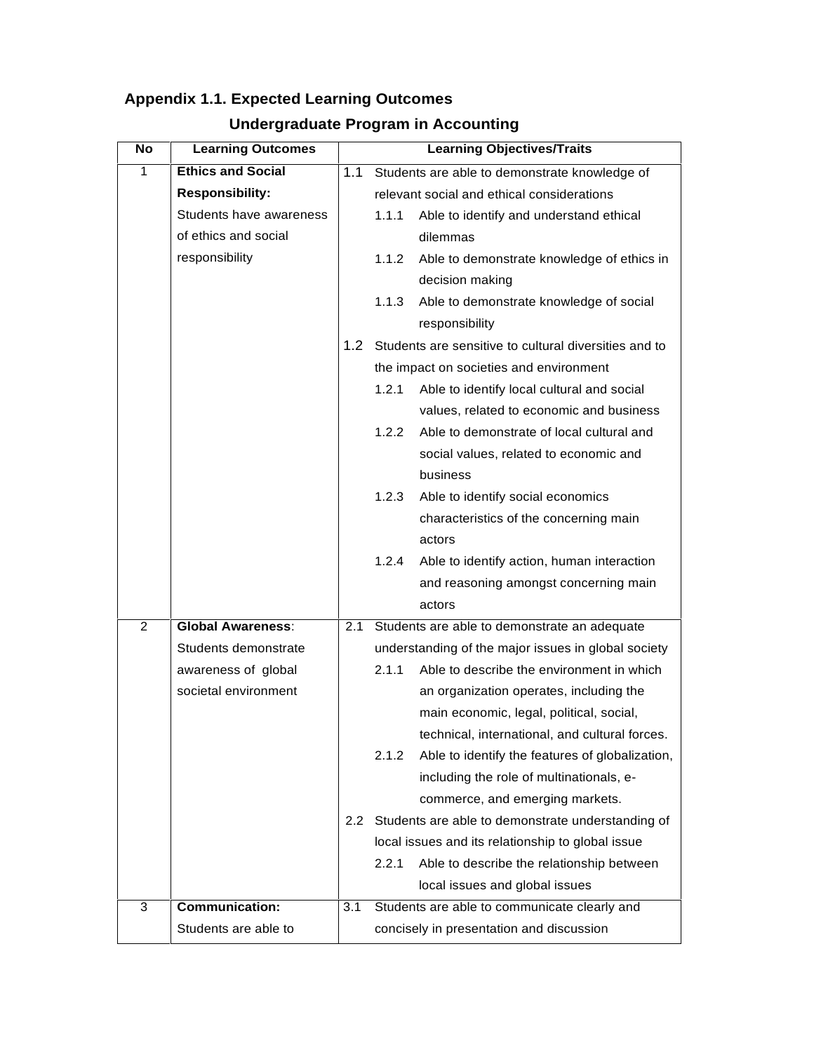| No          | <b>Learning Outcomes</b> | <b>Learning Objectives/Traits</b> |                                                     |                                                        |  |  |
|-------------|--------------------------|-----------------------------------|-----------------------------------------------------|--------------------------------------------------------|--|--|
| $\mathbf 1$ | <b>Ethics and Social</b> | 1.1                               |                                                     | Students are able to demonstrate knowledge of          |  |  |
|             | <b>Responsibility:</b>   |                                   |                                                     | relevant social and ethical considerations             |  |  |
|             | Students have awareness  |                                   | 1.1.1                                               | Able to identify and understand ethical                |  |  |
|             | of ethics and social     |                                   |                                                     | dilemmas                                               |  |  |
|             | responsibility           |                                   | 1.1.2                                               | Able to demonstrate knowledge of ethics in             |  |  |
|             |                          |                                   |                                                     | decision making                                        |  |  |
|             |                          |                                   | 1.1.3                                               | Able to demonstrate knowledge of social                |  |  |
|             |                          |                                   |                                                     | responsibility                                         |  |  |
|             |                          | 1.2 <sub>1</sub>                  |                                                     | Students are sensitive to cultural diversities and to  |  |  |
|             |                          |                                   |                                                     | the impact on societies and environment                |  |  |
|             |                          |                                   | 1.2.1                                               | Able to identify local cultural and social             |  |  |
|             |                          |                                   |                                                     | values, related to economic and business               |  |  |
|             |                          |                                   | 1.2.2                                               | Able to demonstrate of local cultural and              |  |  |
|             |                          |                                   |                                                     | social values, related to economic and                 |  |  |
|             |                          |                                   |                                                     | business                                               |  |  |
|             |                          |                                   | 1.2.3                                               | Able to identify social economics                      |  |  |
|             |                          |                                   |                                                     | characteristics of the concerning main                 |  |  |
|             |                          |                                   |                                                     | actors                                                 |  |  |
|             |                          |                                   | 1.2.4                                               | Able to identify action, human interaction             |  |  |
|             |                          |                                   |                                                     | and reasoning amongst concerning main                  |  |  |
| 2           | <b>Global Awareness:</b> | 2.1                               |                                                     | actors<br>Students are able to demonstrate an adequate |  |  |
|             | Students demonstrate     |                                   | understanding of the major issues in global society |                                                        |  |  |
|             | awareness of global      |                                   | 2.1.1                                               | Able to describe the environment in which              |  |  |
|             | societal environment     |                                   |                                                     | an organization operates, including the                |  |  |
|             |                          |                                   |                                                     | main economic, legal, political, social,               |  |  |
|             |                          |                                   |                                                     | technical, international, and cultural forces.         |  |  |
|             |                          |                                   | 2.1.2                                               | Able to identify the features of globalization,        |  |  |
|             |                          |                                   |                                                     | including the role of multinationals, e-               |  |  |
|             |                          |                                   |                                                     | commerce, and emerging markets.                        |  |  |
|             |                          | $2.2^{\circ}$                     | Students are able to demonstrate understanding of   |                                                        |  |  |
|             |                          |                                   | local issues and its relationship to global issue   |                                                        |  |  |
|             |                          |                                   | 2.2.1                                               | Able to describe the relationship between              |  |  |
|             |                          |                                   |                                                     | local issues and global issues                         |  |  |
| 3           | <b>Communication:</b>    | 3.1                               |                                                     | Students are able to communicate clearly and           |  |  |
|             | Students are able to     |                                   |                                                     | concisely in presentation and discussion               |  |  |

## **Appendix 1.1. Expected Learning Outcomes**

## **Undergraduate Program in Accounting**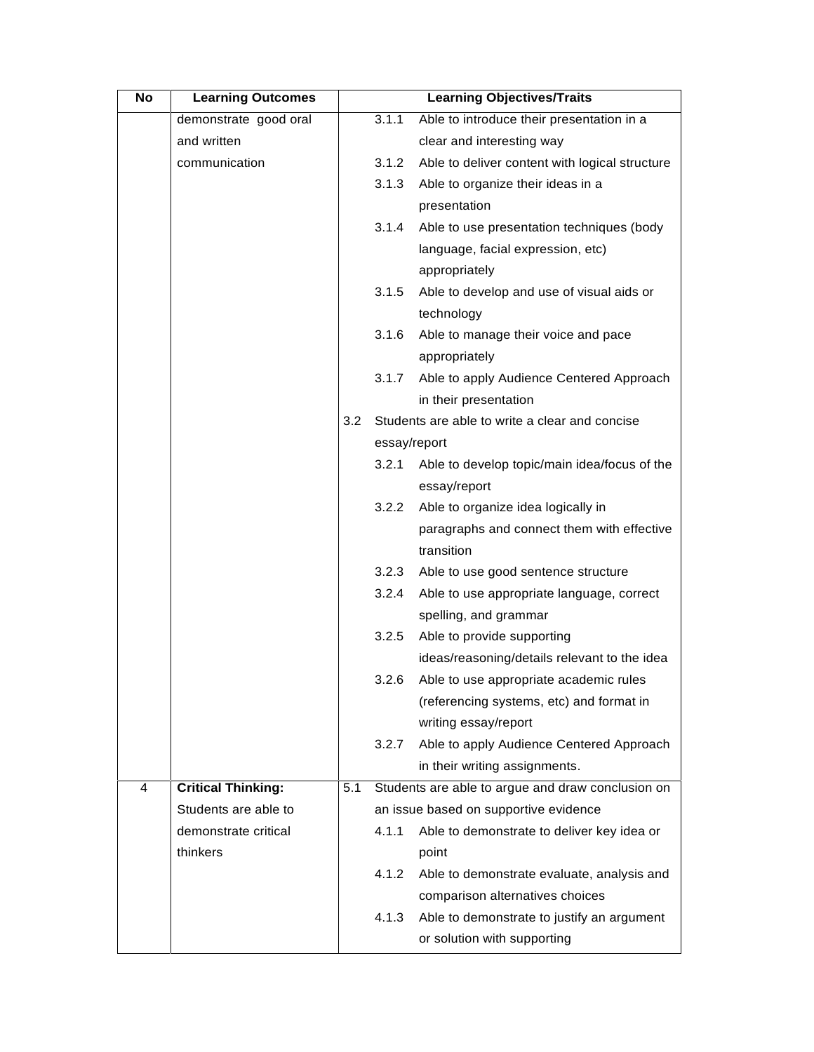| No | <b>Learning Outcomes</b>  |                  |              | <b>Learning Objectives/Traits</b>                 |
|----|---------------------------|------------------|--------------|---------------------------------------------------|
|    | demonstrate good oral     |                  | 3.1.1        | Able to introduce their presentation in a         |
|    | and written               |                  |              | clear and interesting way                         |
|    | communication             |                  | 3.1.2        | Able to deliver content with logical structure    |
|    |                           |                  | 3.1.3        | Able to organize their ideas in a                 |
|    |                           |                  |              | presentation                                      |
|    |                           |                  | 3.1.4        | Able to use presentation techniques (body         |
|    |                           |                  |              | language, facial expression, etc)                 |
|    |                           |                  |              | appropriately                                     |
|    |                           |                  | 3.1.5        | Able to develop and use of visual aids or         |
|    |                           |                  |              | technology                                        |
|    |                           |                  | 3.1.6        | Able to manage their voice and pace               |
|    |                           |                  |              | appropriately                                     |
|    |                           |                  | 3.1.7        | Able to apply Audience Centered Approach          |
|    |                           |                  |              | in their presentation                             |
|    |                           | 3.2 <sub>2</sub> |              | Students are able to write a clear and concise    |
|    |                           |                  | essay/report |                                                   |
|    |                           |                  | 3.2.1        | Able to develop topic/main idea/focus of the      |
|    |                           |                  |              | essay/report                                      |
|    |                           |                  | 3.2.2        | Able to organize idea logically in                |
|    |                           |                  |              | paragraphs and connect them with effective        |
|    |                           |                  |              | transition                                        |
|    |                           |                  | 3.2.3        | Able to use good sentence structure               |
|    |                           |                  | 3.2.4        | Able to use appropriate language, correct         |
|    |                           |                  |              | spelling, and grammar                             |
|    |                           |                  | 3.2.5        | Able to provide supporting                        |
|    |                           |                  |              | ideas/reasoning/details relevant to the idea      |
|    |                           |                  | 3.2.6        | Able to use appropriate academic rules            |
|    |                           |                  |              | (referencing systems, etc) and format in          |
|    |                           |                  |              | writing essay/report                              |
|    |                           |                  | 3.2.7        | Able to apply Audience Centered Approach          |
|    |                           |                  |              | in their writing assignments.                     |
| 4  | <b>Critical Thinking:</b> | 5.1              |              | Students are able to argue and draw conclusion on |
|    | Students are able to      |                  |              | an issue based on supportive evidence             |
|    | demonstrate critical      |                  | 4.1.1        | Able to demonstrate to deliver key idea or        |
|    | thinkers                  |                  |              | point                                             |
|    |                           |                  | 4.1.2        | Able to demonstrate evaluate, analysis and        |
|    |                           |                  |              | comparison alternatives choices                   |
|    |                           |                  | 4.1.3        | Able to demonstrate to justify an argument        |
|    |                           |                  |              | or solution with supporting                       |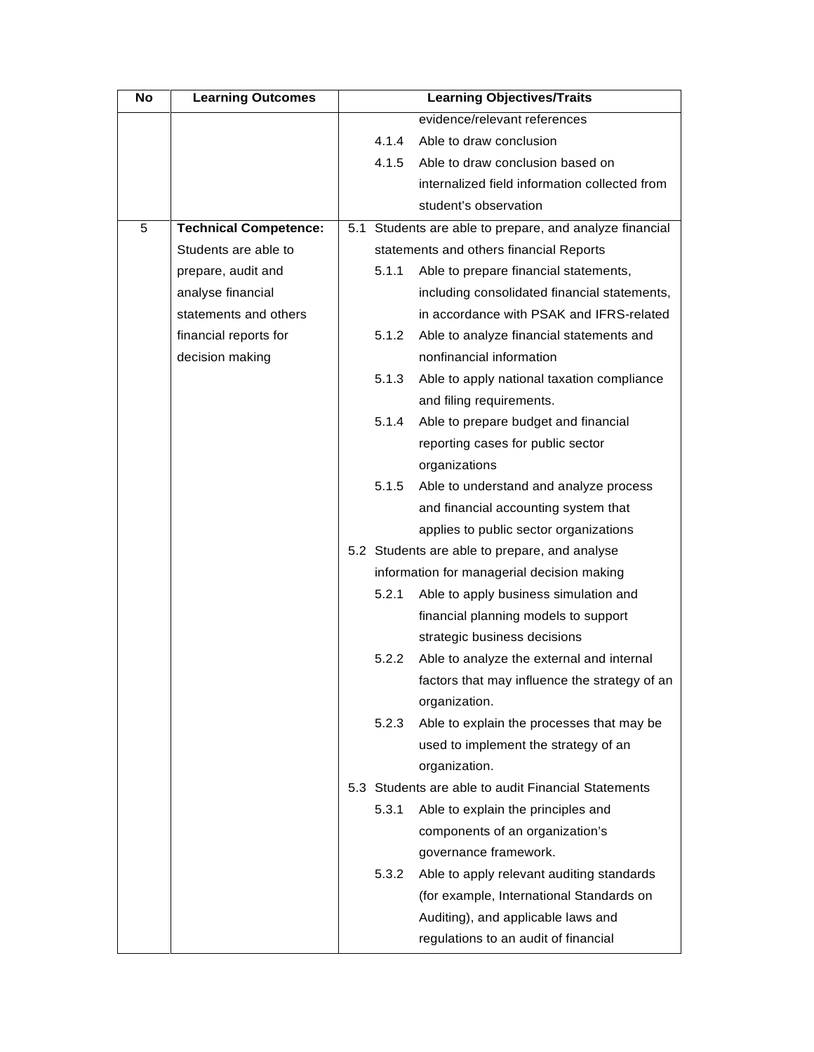| evidence/relevant references<br>4.1.4<br>Able to draw conclusion<br>4.1.5<br>Able to draw conclusion based on<br>internalized field information collected from<br>student's observation |  |
|-----------------------------------------------------------------------------------------------------------------------------------------------------------------------------------------|--|
|                                                                                                                                                                                         |  |
|                                                                                                                                                                                         |  |
|                                                                                                                                                                                         |  |
|                                                                                                                                                                                         |  |
|                                                                                                                                                                                         |  |
| <b>Technical Competence:</b><br>5.1 Students are able to prepare, and analyze financial                                                                                                 |  |
| Students are able to<br>statements and others financial Reports                                                                                                                         |  |
| 5.1.1<br>Able to prepare financial statements,<br>prepare, audit and                                                                                                                    |  |
| analyse financial<br>including consolidated financial statements,                                                                                                                       |  |
| statements and others<br>in accordance with PSAK and IFRS-related                                                                                                                       |  |
| financial reports for<br>Able to analyze financial statements and<br>5.1.2                                                                                                              |  |
| decision making<br>nonfinancial information                                                                                                                                             |  |
| 5.1.3<br>Able to apply national taxation compliance                                                                                                                                     |  |
| and filing requirements.                                                                                                                                                                |  |
| 5.1.4<br>Able to prepare budget and financial                                                                                                                                           |  |
| reporting cases for public sector                                                                                                                                                       |  |
| organizations                                                                                                                                                                           |  |
| 5.1.5<br>Able to understand and analyze process                                                                                                                                         |  |
| and financial accounting system that                                                                                                                                                    |  |
| applies to public sector organizations                                                                                                                                                  |  |
| 5.2 Students are able to prepare, and analyse                                                                                                                                           |  |
| information for managerial decision making                                                                                                                                              |  |
| 5.2.1<br>Able to apply business simulation and                                                                                                                                          |  |
| financial planning models to support                                                                                                                                                    |  |
| strategic business decisions                                                                                                                                                            |  |
| 5.2.2<br>Able to analyze the external and internal                                                                                                                                      |  |
| factors that may influence the strategy of an                                                                                                                                           |  |
| organization.                                                                                                                                                                           |  |
| 5.2.3<br>Able to explain the processes that may be                                                                                                                                      |  |
| used to implement the strategy of an                                                                                                                                                    |  |
| organization.                                                                                                                                                                           |  |
| 5.3 Students are able to audit Financial Statements                                                                                                                                     |  |
| 5.3.1<br>Able to explain the principles and                                                                                                                                             |  |
| components of an organization's                                                                                                                                                         |  |
| governance framework.                                                                                                                                                                   |  |
| 5.3.2<br>Able to apply relevant auditing standards                                                                                                                                      |  |
| (for example, International Standards on                                                                                                                                                |  |
| Auditing), and applicable laws and                                                                                                                                                      |  |
| regulations to an audit of financial                                                                                                                                                    |  |